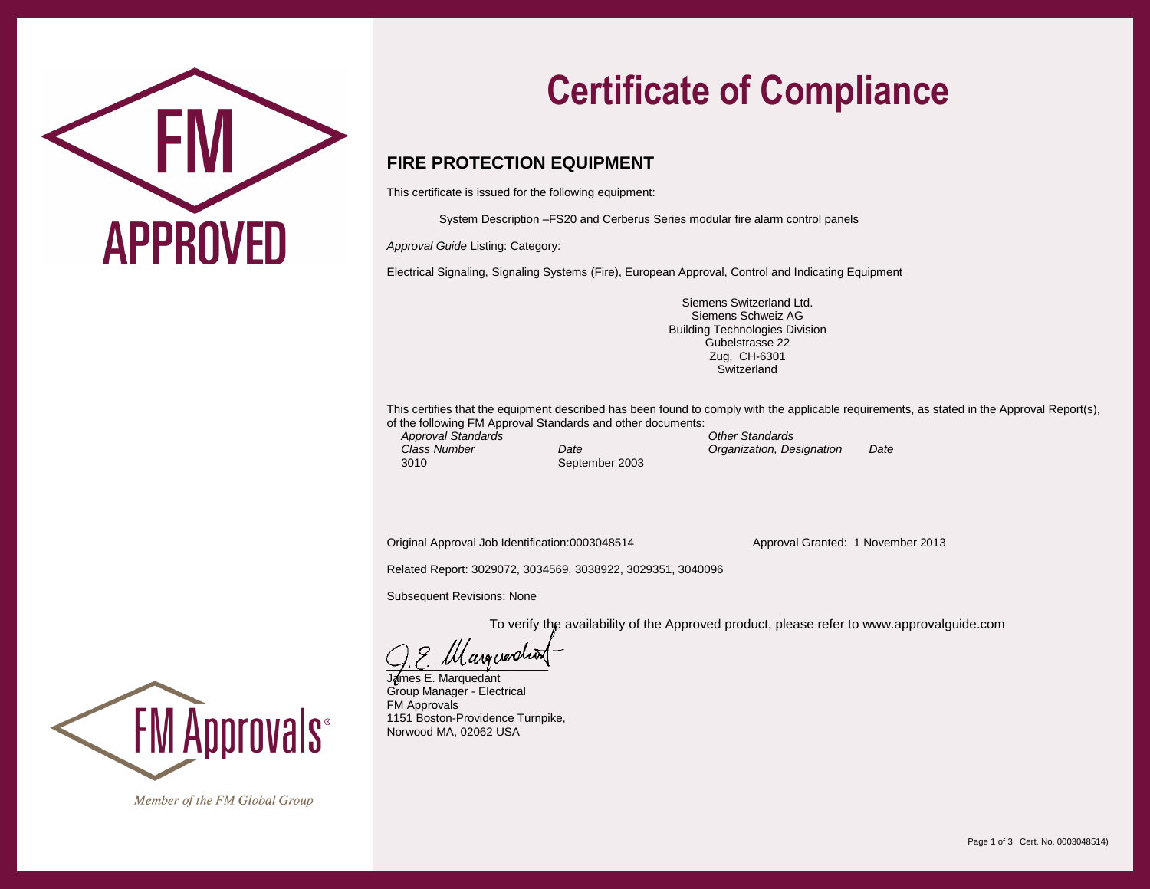

## **Certificate of Compliance**

## **FIRE PROTECTION EQUIPMENT**

This certificate is issued for the following equipment:

System Description –FS20 and Cerberus Series modular fire alarm control panels

*Approval Guide* Listing: Category:

Electrical Signaling, Signaling Systems (Fire), European Approval, Control and Indicating Equipment

Siemens Switzerland Ltd. Siemens Schweiz AG Building Technologies Division Gubelstrasse 22 Zug, CH-6301 **Switzerland** 

This certifies that the equipment described has been found to comply with the applicable requirements, as stated in the Approval Report(s), of the following FM Approval Standards and other documents: *Approval Standards Other Standards*

3010 September 2003

*Class Number Date Organization, Designation Date*

Original Approval Job Identification:0003048514 Approval Granted: 1 November 2013

Related Report: 3029072, 3034569, 3038922, 3029351, 3040096

Subsequent Revisions: None

To verify the availability of the Approved product, please refer to www.approvalguide.com

 $\cup$ .  $\cup$ .  $\cup$ .  $\cup$ .  $\cup$ .  $\cup$ .  $\cup$ .  $\cup$ .  $\cup$ .  $\cup$ .  $\cup$ .  $\cup$ .  $\cup$ .  $\cup$ .  $\cup$ .  $\cup$ .  $\cup$ .  $\cup$ .  $\cup$ .  $\cup$ .  $\cup$ .  $\cup$ .  $\cup$ .  $\cup$ .  $\cup$ .  $\cup$ .  $\cup$ .  $\cup$ .  $\cup$ .  $\cup$ .  $\cup$ .  $\cup$ .  $\cup$ .  $\cup$ .  $\cup$ .  $\cup$ .  $\cup$ .

James E. Marquedant Group Manager - Electrical FM Approvals 1151 Boston-Providence Turnpike, Norwood MA, 02062 USA



Member of the FM Global Group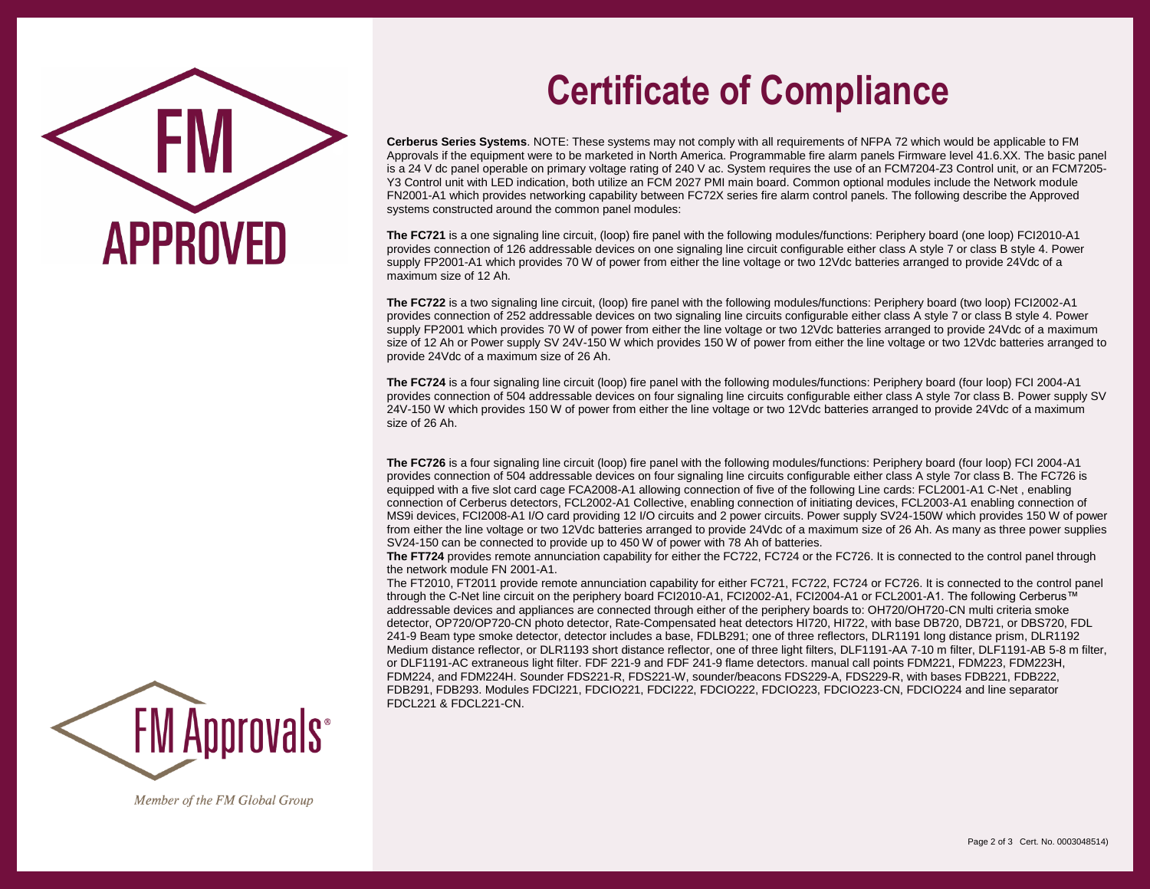

## **Certificate of Compliance**

**Cerberus Series Systems**. NOTE: These systems may not comply with all requirements of NFPA 72 which would be applicable to FM Approvals if the equipment were to be marketed in North America. Programmable fire alarm panels Firmware level 41.6.XX. The basic panel is a 24 V dc panel operable on primary voltage rating of 240 V ac. System requires the use of an FCM7204-Z3 Control unit, or an FCM7205- Y3 Control unit with LED indication, both utilize an FCM 2027 PMI main board. Common optional modules include the Network module FN2001-A1 which provides networking capability between FC72X series fire alarm control panels. The following describe the Approved systems constructed around the common panel modules:

**The FC721** is a one signaling line circuit, (loop) fire panel with the following modules/functions: Periphery board (one loop) FCI2010-A1 provides connection of 126 addressable devices on one signaling line circuit configurable either class A style 7 or class B style 4. Power supply FP2001-A1 which provides 70 W of power from either the line voltage or two 12Vdc batteries arranged to provide 24Vdc of a maximum size of 12 Ah.

**The FC722** is a two signaling line circuit, (loop) fire panel with the following modules/functions: Periphery board (two loop) FCI2002-A1 provides connection of 252 addressable devices on two signaling line circuits configurable either class A style 7 or class B style 4. Power supply FP2001 which provides 70 W of power from either the line voltage or two 12Vdc batteries arranged to provide 24Vdc of a maximum size of 12 Ah or Power supply SV 24V-150 W which provides 150 W of power from either the line voltage or two 12Vdc batteries arranged to provide 24Vdc of a maximum size of 26 Ah.

**The FC724** is a four signaling line circuit (loop) fire panel with the following modules/functions: Periphery board (four loop) FCI 2004-A1 provides connection of 504 addressable devices on four signaling line circuits configurable either class A style 7or class B. Power supply SV 24V-150 W which provides 150 W of power from either the line voltage or two 12Vdc batteries arranged to provide 24Vdc of a maximum size of 26 Ah.

**The FC726** is a four signaling line circuit (loop) fire panel with the following modules/functions: Periphery board (four loop) FCI 2004-A1 provides connection of 504 addressable devices on four signaling line circuits configurable either class A style 7or class B. The FC726 is equipped with a five slot card cage FCA2008-A1 allowing connection of five of the following Line cards: FCL2001-A1 C-Net , enabling connection of Cerberus detectors, FCL2002-A1 Collective, enabling connection of initiating devices, FCL2003-A1 enabling connection of MS9i devices, FCI2008-A1 I/O card providing 12 I/O circuits and 2 power circuits. Power supply SV24-150W which provides 150 W of power from either the line voltage or two 12Vdc batteries arranged to provide 24Vdc of a maximum size of 26 Ah. As many as three power supplies SV24-150 can be connected to provide up to 450 W of power with 78 Ah of batteries.

**The FT724** provides remote annunciation capability for either the FC722, FC724 or the FC726. It is connected to the control panel through the network module FN 2001-A1.

The FT2010, FT2011 provide remote annunciation capability for either FC721, FC722, FC724 or FC726. It is connected to the control panel through the C-Net line circuit on the periphery board FCI2010-A1, FCI2002-A1, FCI2004-A1 or FCL2001-A1. The following Cerberus™ addressable devices and appliances are connected through either of the periphery boards to: OH720/OH720-CN multi criteria smoke detector, OP720/OP720-CN photo detector, Rate-Compensated heat detectors HI720, HI722, with base DB720, DB721, or DBS720, FDL 241-9 Beam type smoke detector, detector includes a base, FDLB291; one of three reflectors, DLR1191 long distance prism, DLR1192 Medium distance reflector, or DLR1193 short distance reflector, one of three light filters, DLF1191-AA 7-10 m filter, DLF1191-AB 5-8 m filter, or DLF1191-AC extraneous light filter. FDF 221-9 and FDF 241-9 flame detectors. manual call points FDM221, FDM223, FDM223H, FDM224, and FDM224H. Sounder FDS221-R, FDS221-W, sounder/beacons FDS229-A, FDS229-R, with bases FDB221, FDB222, FDB291, FDB293. Modules FDCI221, FDCIO221, FDCI222, FDCIO222, FDCIO223, FDCIO223-CN, FDCIO224 and line separator FDCL221 & FDCL221-CN.



Member of the FM Global Group